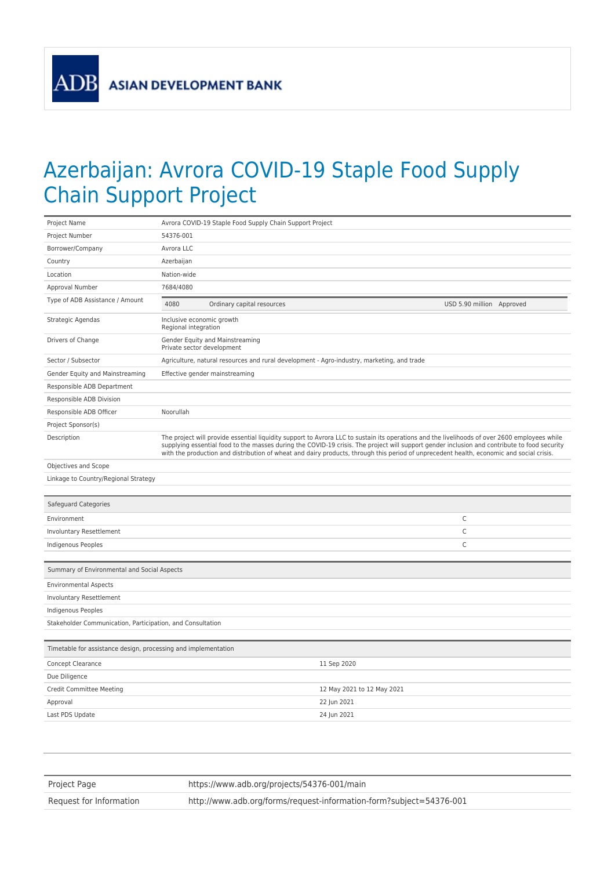**ADB** 

## Azerbaijan: Avrora COVID-19 Staple Food Supply Chain Support Project

| Project Name                                                   | Avrora COVID-19 Staple Food Supply Chain Support Project                                                                                                                                                                                                                                                                                                                                                                                  |                            |                            |                           |  |
|----------------------------------------------------------------|-------------------------------------------------------------------------------------------------------------------------------------------------------------------------------------------------------------------------------------------------------------------------------------------------------------------------------------------------------------------------------------------------------------------------------------------|----------------------------|----------------------------|---------------------------|--|
| Project Number                                                 | 54376-001                                                                                                                                                                                                                                                                                                                                                                                                                                 |                            |                            |                           |  |
| Borrower/Company                                               | Avrora LLC                                                                                                                                                                                                                                                                                                                                                                                                                                |                            |                            |                           |  |
| Country                                                        | Azerbaijan                                                                                                                                                                                                                                                                                                                                                                                                                                |                            |                            |                           |  |
| Location                                                       | Nation-wide                                                                                                                                                                                                                                                                                                                                                                                                                               |                            |                            |                           |  |
| Approval Number                                                | 7684/4080                                                                                                                                                                                                                                                                                                                                                                                                                                 |                            |                            |                           |  |
| Type of ADB Assistance / Amount                                | 4080                                                                                                                                                                                                                                                                                                                                                                                                                                      | Ordinary capital resources |                            | USD 5.90 million Approved |  |
| Strategic Agendas                                              | Inclusive economic growth<br>Regional integration                                                                                                                                                                                                                                                                                                                                                                                         |                            |                            |                           |  |
| Drivers of Change                                              | Gender Equity and Mainstreaming<br>Private sector development                                                                                                                                                                                                                                                                                                                                                                             |                            |                            |                           |  |
| Sector / Subsector                                             | Agriculture, natural resources and rural development - Agro-industry, marketing, and trade                                                                                                                                                                                                                                                                                                                                                |                            |                            |                           |  |
| Gender Equity and Mainstreaming                                | Effective gender mainstreaming                                                                                                                                                                                                                                                                                                                                                                                                            |                            |                            |                           |  |
| Responsible ADB Department                                     |                                                                                                                                                                                                                                                                                                                                                                                                                                           |                            |                            |                           |  |
| Responsible ADB Division                                       |                                                                                                                                                                                                                                                                                                                                                                                                                                           |                            |                            |                           |  |
| Responsible ADB Officer                                        | Noorullah                                                                                                                                                                                                                                                                                                                                                                                                                                 |                            |                            |                           |  |
| Project Sponsor(s)                                             |                                                                                                                                                                                                                                                                                                                                                                                                                                           |                            |                            |                           |  |
| Description                                                    | The project will provide essential liquidity support to Avrora LLC to sustain its operations and the livelihoods of over 2600 employees while<br>supplying essential food to the masses during the COVID-19 crisis. The project will support gender inclusion and contribute to food security<br>with the production and distribution of wheat and dairy products, through this period of unprecedent health, economic and social crisis. |                            |                            |                           |  |
| Objectives and Scope                                           |                                                                                                                                                                                                                                                                                                                                                                                                                                           |                            |                            |                           |  |
| Linkage to Country/Regional Strategy                           |                                                                                                                                                                                                                                                                                                                                                                                                                                           |                            |                            |                           |  |
|                                                                |                                                                                                                                                                                                                                                                                                                                                                                                                                           |                            |                            |                           |  |
| Safeguard Categories                                           |                                                                                                                                                                                                                                                                                                                                                                                                                                           |                            |                            |                           |  |
| Environment                                                    |                                                                                                                                                                                                                                                                                                                                                                                                                                           |                            |                            | $\mathsf C$               |  |
| Involuntary Resettlement                                       |                                                                                                                                                                                                                                                                                                                                                                                                                                           |                            |                            | C                         |  |
| Indigenous Peoples                                             |                                                                                                                                                                                                                                                                                                                                                                                                                                           |                            |                            | $\mathsf C$               |  |
|                                                                |                                                                                                                                                                                                                                                                                                                                                                                                                                           |                            |                            |                           |  |
| Summary of Environmental and Social Aspects                    |                                                                                                                                                                                                                                                                                                                                                                                                                                           |                            |                            |                           |  |
| <b>Environmental Aspects</b>                                   |                                                                                                                                                                                                                                                                                                                                                                                                                                           |                            |                            |                           |  |
| Involuntary Resettlement                                       |                                                                                                                                                                                                                                                                                                                                                                                                                                           |                            |                            |                           |  |
| Indigenous Peoples                                             |                                                                                                                                                                                                                                                                                                                                                                                                                                           |                            |                            |                           |  |
| Stakeholder Communication, Participation, and Consultation     |                                                                                                                                                                                                                                                                                                                                                                                                                                           |                            |                            |                           |  |
|                                                                |                                                                                                                                                                                                                                                                                                                                                                                                                                           |                            |                            |                           |  |
| Timetable for assistance design, processing and implementation |                                                                                                                                                                                                                                                                                                                                                                                                                                           |                            |                            |                           |  |
| Concept Clearance                                              |                                                                                                                                                                                                                                                                                                                                                                                                                                           |                            | 11 Sep 2020                |                           |  |
| Due Diligence                                                  |                                                                                                                                                                                                                                                                                                                                                                                                                                           |                            |                            |                           |  |
| <b>Credit Committee Meeting</b>                                |                                                                                                                                                                                                                                                                                                                                                                                                                                           |                            | 12 May 2021 to 12 May 2021 |                           |  |
| Approval                                                       |                                                                                                                                                                                                                                                                                                                                                                                                                                           |                            | 22 Jun 2021                |                           |  |
| Last PDS Update                                                |                                                                                                                                                                                                                                                                                                                                                                                                                                           |                            | 24 Jun 2021                |                           |  |
|                                                                |                                                                                                                                                                                                                                                                                                                                                                                                                                           |                            |                            |                           |  |

| Project Page            | https://www.adb.org/projects/54376-001/main                         |  |
|-------------------------|---------------------------------------------------------------------|--|
| Request for Information | http://www.adb.org/forms/request-information-form?subject=54376-001 |  |
|                         |                                                                     |  |